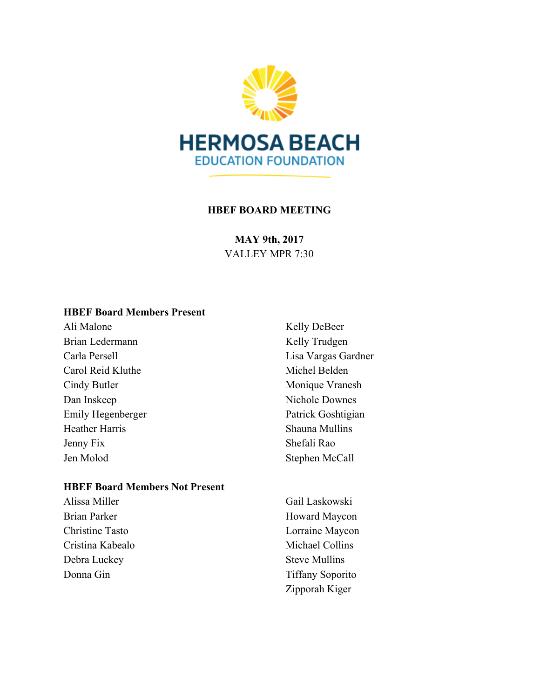

#### **HBEF BOARD MEETING**

**MAY 9th, 2017** VALLEY MPR 7:30

#### **HBEF Board Members Present**

Ali Malone Brian Ledermann Carla Persell Carol Reid Kluthe Cindy Butler Dan Inskeep Emily Hegenberger Heather Harris Jenny Fix Jen Molod

#### **HBEF Board Members Not Present**

Alissa Miller Brian Parker Christine Tasto Cristina Kabealo Debra Luckey Donna Gin

Kelly DeBeer Kelly Trudgen Lisa Vargas Gardner Michel Belden Monique Vranesh Nichole Downes Patrick Goshtigian Shauna Mullins Shefali Rao Stephen McCall

Gail Laskowski Howard Maycon Lorraine Maycon Michael Collins Steve Mullins Tiffany Soporito Zipporah Kiger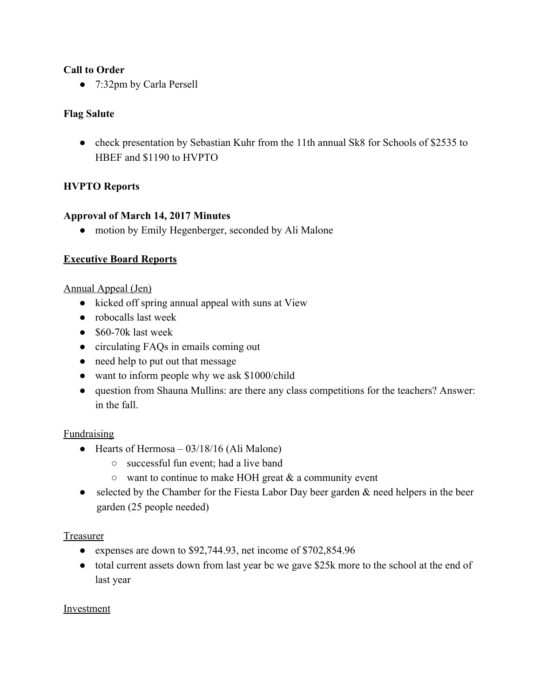#### **Call to Order**

● 7:32pm by Carla Persell

#### **Flag Salute**

• check presentation by Sebastian Kuhr from the 11th annual Sk8 for Schools of \$2535 to HBEF and \$1190 to HVPTO

## **HVPTO Reports**

#### **Approval of March 14, 2017 Minutes**

• motion by Emily Hegenberger, seconded by Ali Malone

## **Executive Board Reports**

Annual Appeal (Jen)

- kicked off spring annual appeal with suns at View
- robocalls last week
- \$60-70k last week
- circulating FAQs in emails coming out
- need help to put out that message
- want to inform people why we ask \$1000/child
- question from Shauna Mullins: are there any class competitions for the teachers? Answer: in the fall.

#### Fundraising

- Hearts of Hermosa  $03/18/16$  (Ali Malone)
	- successful fun event; had a live band
	- $\circ$  want to continue to make HOH great & a community event
- selected by the Chamber for the Fiesta Labor Day beer garden & need helpers in the beer garden (25 people needed)

#### Treasurer

- expenses are down to \$92,744.93, net income of \$702,854.96
- total current assets down from last year bc we gave \$25k more to the school at the end of last year

#### Investment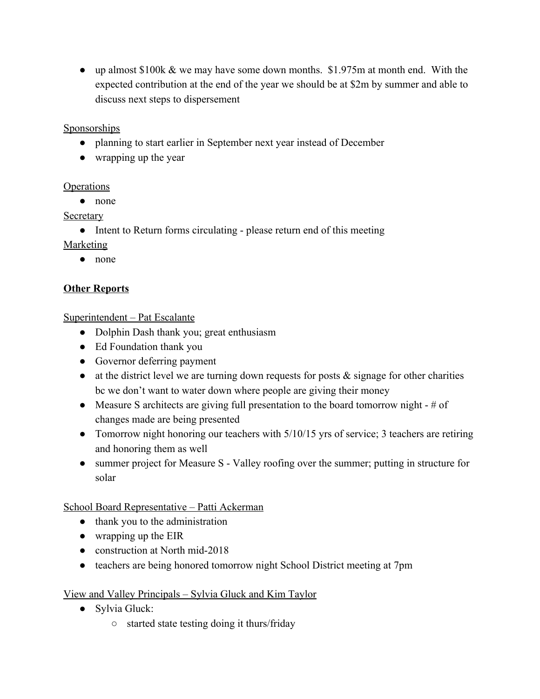• up almost \$100k & we may have some down months. \$1.975m at month end. With the expected contribution at the end of the year we should be at \$2m by summer and able to discuss next steps to dispersement

**Sponsorships** 

- planning to start earlier in September next year instead of December
- wrapping up the year

## **Operations**

● none

**Secretary** 

• Intent to Return forms circulating - please return end of this meeting

Marketing

● none

# **Other Reports**

Superintendent – Pat Escalante

- Dolphin Dash thank you; great enthusiasm
- Ed Foundation thank you
- Governor deferring payment
- $\bullet$  at the district level we are turning down requests for posts  $\&$  signage for other charities bc we don't want to water down where people are giving their money
- Measure S architects are giving full presentation to the board tomorrow night  $-$  # of changes made are being presented
- Tomorrow night honoring our teachers with  $5/10/15$  yrs of service; 3 teachers are retiring and honoring them as well
- summer project for Measure S Valley roofing over the summer; putting in structure for solar

# School Board Representative – Patti Ackerman

- thank you to the administration
- wrapping up the EIR
- construction at North mid-2018
- teachers are being honored tomorrow night School District meeting at 7pm

# View and Valley Principals – Sylvia Gluck and Kim Taylor

- Sylvia Gluck:
	- started state testing doing it thurs/friday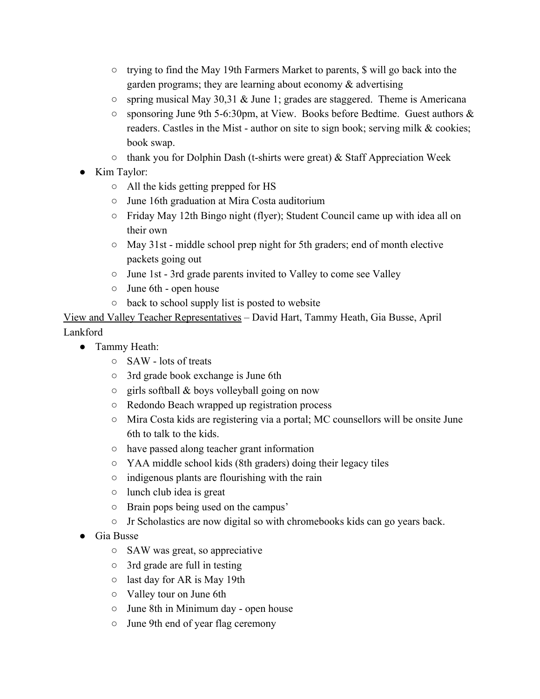- trying to find the May 19th Farmers Market to parents, \$ will go back into the garden programs; they are learning about economy  $\&$  advertising
- $\circ$  spring musical May 30,31 & June 1; grades are staggered. Theme is Americana
- sponsoring June 9th 5-6:30pm, at View. Books before Bedtime. Guest authors & readers. Castles in the Mist - author on site to sign book; serving milk & cookies; book swap.
- $\circ$  thank you for Dolphin Dash (t-shirts were great) & Staff Appreciation Week
- Kim Taylor:
	- All the kids getting prepped for HS
	- June 16th graduation at Mira Costa auditorium
	- Friday May 12th Bingo night (flyer); Student Council came up with idea all on their own
	- May 31st middle school prep night for 5th graders; end of month elective packets going out
	- June 1st 3rd grade parents invited to Valley to come see Valley
	- June 6th open house
	- back to school supply list is posted to website

View and Valley Teacher Representatives – David Hart, Tammy Heath, Gia Busse, April Lankford

- Tammy Heath:
	- SAW lots of treats
	- 3rd grade book exchange is June 6th
	- $\circ$  girls softball & boys volleyball going on now
	- Redondo Beach wrapped up registration process
	- Mira Costa kids are registering via a portal; MC counsellors will be onsite June 6th to talk to the kids.
	- have passed along teacher grant information
	- YAA middle school kids (8th graders) doing their legacy tiles
	- $\circ$  indigenous plants are flourishing with the rain
	- $\circ$  lunch club idea is great
	- Brain pops being used on the campus'
	- Jr Scholastics are now digital so with chromebooks kids can go years back.
- Gia Busse
	- SAW was great, so appreciative
	- 3rd grade are full in testing
	- last day for AR is May 19th
	- Valley tour on June 6th
	- June 8th in Minimum day open house
	- June 9th end of year flag ceremony